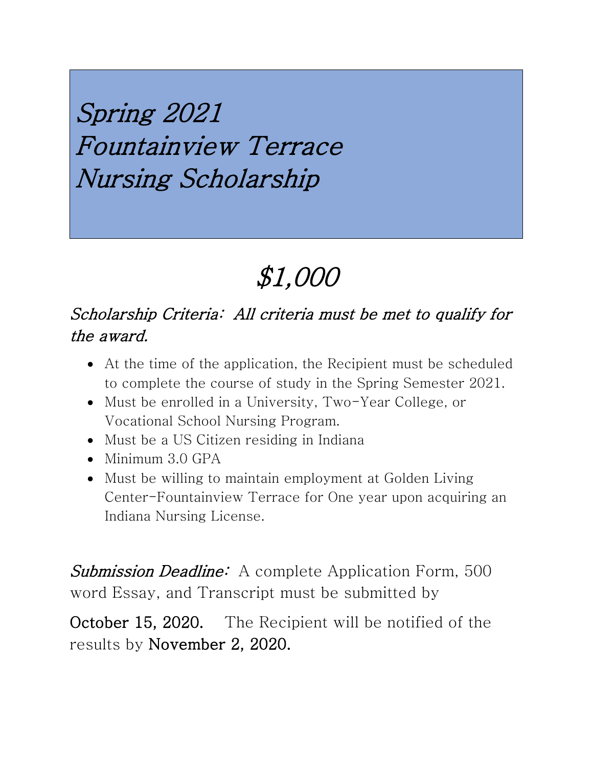Spring 2021 Fountainview Terrace Nursing Scholarship

# \$1,000

#### Scholarship Criteria: All criteria must be met to qualify for the award.

- At the time of the application, the Recipient must be scheduled to complete the course of study in the Spring Semester 2021.
- Must be enrolled in a University, Two-Year College, or Vocational School Nursing Program.
- Must be a US Citizen residing in Indiana
- Minimum 3.0 GPA
- Must be willing to maintain employment at Golden Living Center-Fountainview Terrace for One year upon acquiring an Indiana Nursing License.

Submission Deadline: A complete Application Form, 500 word Essay, and Transcript must be submitted by

October 15, 2020. The Recipient will be notified of the results by November 2, 2020.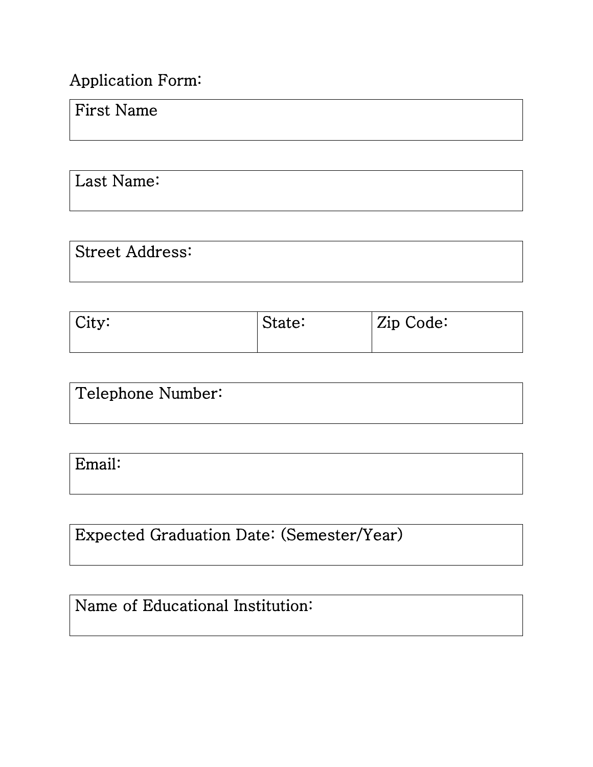#### Application Form:

#### First Name

Last Name:

| <b>Street Address:</b> |  |  |
|------------------------|--|--|
|                        |  |  |

| $\vert$ City: | State: | $\vert$ Zip Code: |
|---------------|--------|-------------------|
|               |        |                   |

| Telephone Number: |  |
|-------------------|--|
|                   |  |

Email:

Expected Graduation Date: (Semester/Year)

## Name of Educational Institution: